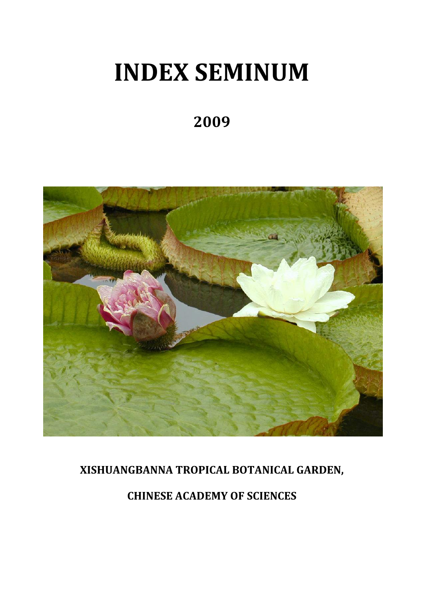# **INDEX SEMINUM**

# **2009**



# **XISHUANGBANNA TROPICAL BOTANICAL GARDEN,**

# **CHINESE ACADEMY OF SCIENCES**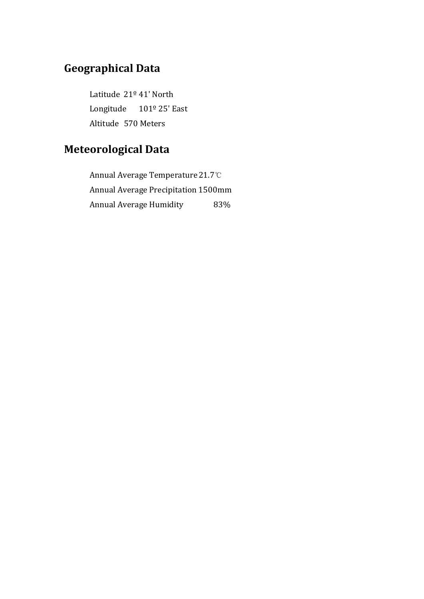# **Geographical Data**

Latitude 21º 41' North Longitude 101º 25' East Altitude 570 Meters

# **Meteorological Data**

Annual Average Temperature 21.7℃ Annual Average Precipitation 1500mm Annual Average Humidity 83%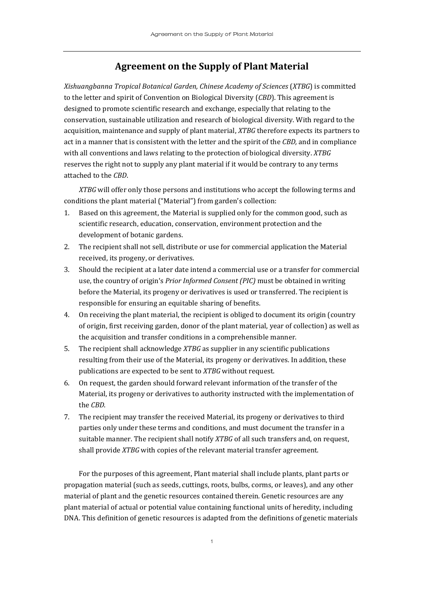#### **Agreement on the Supply of Plant Material**

*Xishuangbanna Tropical Botanical Garden, Chinese Academy of Sciences* (*XTBG*) is committed to the letter and spirit of Convention on Biological Diversity (*CBD*). This agreement is designed to promote scientific research and exchange, especially that relating to the conservation, sustainable utilization and research of biological diversity. With regard to the acquisition, maintenance and supply of plant material, *XTBG* therefore expects its partners to act in a manner that is consistent with the letter and the spirit of the *CBD,* and in compliance with all conventions and laws relating to the protection of biological diversity. *XTBG* reserves the right not to supply any plant material if it would be contrary to any terms attached to the *CBD*.

*XTBG* will offer only those persons and institutions who accept the following terms and conditions the plant material ("Material") from garden's collection:

- 1. Based on this agreement, the Material is supplied only for the common good, such as scientific research, education, conservation, environment protection and the development of botanic gardens.
- 2. The recipient shall not sell, distribute or use for commercial application the Material received, its progeny, or derivatives.
- 3. Should the recipient at a later date intend a commercial use or a transfer for commercial use, the country of origin's *Prior Informed Consent (PIC)* must be obtained in writing before the Material, its progeny or derivatives is used or transferred. The recipient is responsible for ensuring an equitable sharing of benefits.
- 4. On receiving the plant material, the recipient is obliged to document its origin (country of origin, first receiving garden, donor of the plant material, year of collection) as well as the acquisition and transfer conditions in a comprehensible manner.
- 5. The recipient shall acknowledge *XTBG* as supplier in any scientific publications resulting from their use of the Material, its progeny or derivatives. In addition, these publications are expected to be sent to *XTBG* without request.
- 6. On request, the garden should forward relevant information of the transfer of the Material, its progeny or derivatives to authority instructed with the implementation of the *CBD*.
- 7. The recipient may transfer the received Material, its progeny or derivatives to third parties only under these terms and conditions, and must document the transfer in a suitable manner. The recipient shall notify *XTBG* of all such transfers and, on request, shall provide *XTBG* with copies of the relevant material transfer agreement.

For the purposes of this agreement, Plant material shall include plants, plant parts or propagation material (such as seeds, cuttings, roots, bulbs, corms, or leaves), and any other material of plant and the genetic resources contained therein. Genetic resources are any plant material of actual or potential value containing functional units of heredity, including DNA. This definition of genetic resources is adapted from the definitions of genetic materials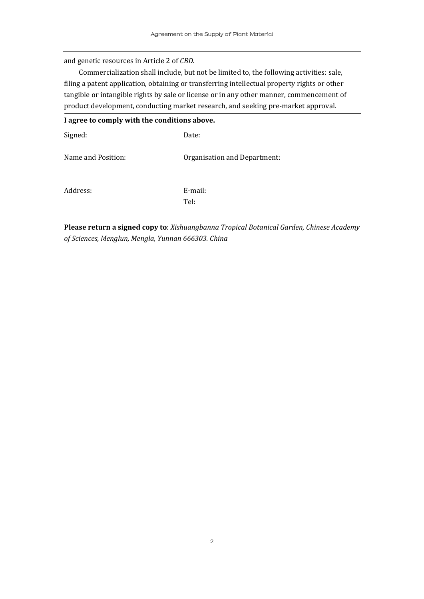and genetic resources in Article 2 of *CBD*.

Commercialization shall include, but not be limited to, the following activities: sale, filing a patent application, obtaining or transferring intellectual property rights or other tangible or intangible rights by sale or license or in any other manner, commencement of product development, conducting market research, and seeking pre‐market approval.

| I agree to comply with the conditions above. |                              |  |  |
|----------------------------------------------|------------------------------|--|--|
| Signed:                                      | Date:                        |  |  |
| Name and Position:                           | Organisation and Department: |  |  |
| Address:                                     | E-mail:<br>Tel:              |  |  |

**Please return a signed copy to**: *Xishuangbanna Tropical Botanical Garden, Chinese Academy of Sciences, Menglun, Mengla, Yunnan 666303. China*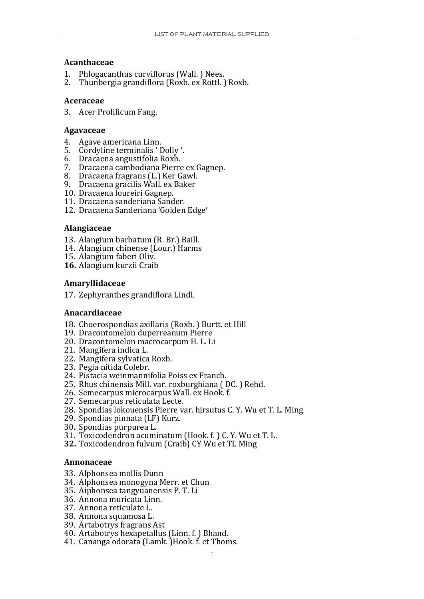#### **Acanthaceae**

- 1. Phlogacanthus curviflorus (Wall.) Nees.<br>2. Thunbergia grandiflora (Roxb. ex Rottl.)
- 2. Thunbergia grandiflora (Roxb. ex Rottl. ) Roxb.

#### **Aceraceae**

3. Acer Prolificum Fang.

#### **Agavaceae**

- 4. Agave americana Linn.
- 5. Cordyline terminalis ' Dolly '.
- 6. Dracaena angustifolia Roxb.
- 7. Dracaena cambodiana Pierre ex Gagnep.
- 8. Dracaena fragrans (L.) Ker Gawl.
- 9. Dracaena gracilis Wall. ex Baker
- 10. Dracaena loureiri Gagnep.
- 11. Dracaena sanderiana Sander.
- 12. Dracaena Sanderiana 'Golden Edge'

#### **Alangiaceae**

- 13. Alangium barbatum (R. Br.) Baill.
- 14. Alangium chinense (Lour.) Harms
- 15. Alangium faberi Oliv.
- **16.** Alangium kurzii Craib

#### **Am ra yllidaceae**

17. Zephyranthes grandiflora Lindl.

#### **An ca ardiaceae**

- 18. Choerospondias axillaris (Roxb.) Burtt. et Hill
- 19. Dracontomelon duperreanum Pierre
- 20. Dracontomelon macrocarpum H. L. Li
- 21. Mangifera indica L.
- 22. Mangifera sylvatica Roxb.
- 23. Pegia nitida Colebr.
- 24. Pistacia weinmannifolia Poiss ex Franch.
- 25. Rhus chinensis Mill. var. roxburghiana ( DC. ) Rehd.
- 26. Semecarpus microcarpus Wall. ex Hook. f.
- 27. Semecarpus reticulata Lecte.
- 28. Spondias lokouensis Pierre var. hirsutus C. Y. Wu et T. L. Ming
- 29. Spondias pinnata (LF) Kurz.
- 30. Spondias purpurea L.
- 31. Toxicodendron acuminatum (Hook. f.) C. Y. Wu et T. L.
- **32.** Toxicodendron fulvum (Craib) CY Wu et TL Ming

#### **An on naceae**

- 33. Alphonsea mollis Dunn
- 34. Alphonsea monogyna Merr. et Chun
- 35. Aiphonsea tangyuanensis P. T. Li
- 36. Annona muricata Linn.
- 37. Annona reticulate L.
- 38. Annona squamosa L.
- 3 9. Artabotrys fragrans Ast
- 40. Artabotrys hexapetallus (Linn. f. ) Bhand.
- 41. Cananga odorata (Lamk. )Hook. f. et Thoms.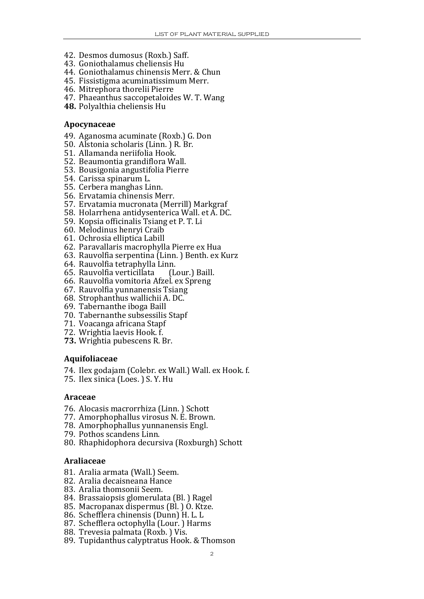- 42. Desmos dumosus (Roxb.) Saff.
- 43. Goniothalamus cheliensis Hu
- 44. Goniothalamus chinensis Merr. & Chun
- 45. Fissistigma acuminatissimum Merr.
- 46. Mitrephora thorelii Pierre
- 47. Phaeanthus saccopetaloides W. T. Wang
- **48.** Polyalthia cheliensis Hu

#### **Apocynaceae**

- 49. Aganosma acuminate (Roxb.) G. Don
- 50. Alstonia scholaris (Linn. ) R. Br.
- 51. Allamanda neriifolia Hook.
- 52. Beaumontia grandiflora Wall.
- 53. Bousigonia angustifolia Pierre
- 54. Carissa spinarum L.
- 55. Cerbera manghas Linn.
- 56. Ervatamia chinensis Merr.
- 57. Ervatamia mucronata (Merrill) Markgraf
- 58. Holarrhena antidysenterica Wall. et A. DC.
- 59. Kopsia officinalis Tsiang et P. T. Li
- 60. Melodinus henryi Craib
- 61. Ochrosia elliptica Labill
- 62. Paravallaris macrophylla Pierre ex Hua
- 63. Rauvolfia serpentina (Linn. ) Benth. ex Kurz
- 64. Rauvolfia tetraphylla Linn.
- . 65. Rauvolfia verticillata (Lour.) Baill
- 66. Rauvolfia vomitoria Afzel. ex Spreng
- 67. Rauvolfia yunnanensis Tsiang
- 68. Strophanthus wallichii A. DC.
- 69. Tabernanthe iboga Baill
- 70. Tabernanthe subsessilis Stapf
- 71. Voacanga africana Stapf
- 72. Wrightia laevis Hook. f.
- **73.** Wrightia pubescens R. Br.

#### **Aquifoliaceae**

- 74. Ilex godajam (Colebr. ex Wall.) Wall. ex Hook. f.
- 75. Ilex sinica (Loes. ) S. Y. Hu

#### **Araceae**

- 76. Alocasis macrorrhiza (Linn. ) Schott
- 77. Amorphophallus virosus N. E. Brown.
- 78. Amorphophallus yunnanensis Engl.
- 79. Pothos scandens Linn.
- 80. Rhaphidophora decursiva (Roxburgh) Schott

#### **Araliaceae**

- 81. Aralia armata (Wall.) Seem.
- 82. Aralia decaisneana Hance
- 83. Aralia thomsonii Seem.
- 84. Brassaiopsis glomerulata (Bl.) Ragel
- 85. Macropanax dispermus (Bl. ) O. Ktze.
- 86. Schefflera chinensis (Dunn) H. L. L.
- 87 . Schefflera octophylla (Lour. ) Harms
- 88. Trevesia palmata (Roxb. ) Vis.
- 89. Tupidanthus calyptratus Hook. & Thomson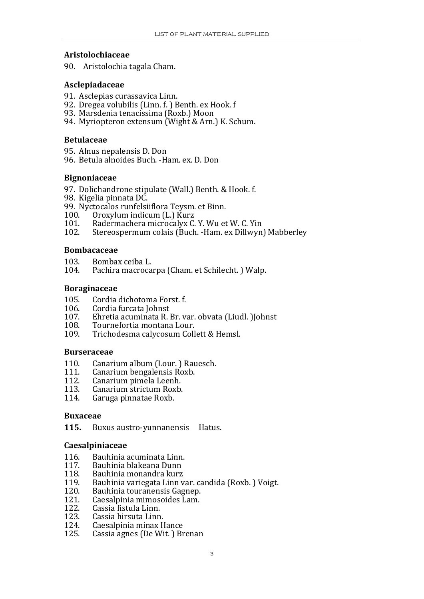#### **Aristolochiaceae**

90. Aristolochia tagala Cham.

#### **Asclepiadaceae**

- 91. Asclepias curassavica Linn.
- 92. Dregea volubilis (Linn. f. ) Benth. ex Hook. f
- 93. Marsdenia tenacissima (Roxb.) Moon
- 94. Myriopteron extensum (Wight & Arn.) K. Schum.

#### **Betulaceae**

- 95. Alnus nepalensis D. Don
- 96. Betula alnoides Buch. ‐Ham. ex. D. Don

#### **Bignoniaceae**

- 97. Dolichandrone stipulate (Wall.) Benth. & Hook. f.
- 98. Kigelia pinnata DC.
- 99. Nyctocalos runfelsiiflora Teysm. et Binn.
- 100. Oroxylum indicum (L.) Kurz
- 101. Radermachera microcalyx C. Y. Wu et W. C. Yin<br>102 Stereospermum colais (Buch -Ham ex Dillwyn
- Stereospermum colais (Buch. -Ham. ex Dillwyn) Mabberley

#### **Bombacaceae**

- 103. Bombax ceiba L.
- 104. Pachira macrocarpa (Cham. et Schilecht. ) Walp.

#### **Boraginaceae**

- 105. Cordia dichotoma Forst. f.<br>106. Cordia furcata Johnst
- 106. Cordia furcata Johnst<br>107. Ehretia acuminata R
- 107. Ehretia acuminata R. Br. var. obvata (Liudl. )Johnst
- 108. Tournefortia montana Lour.<br>109. Trichodesma calvcosum Coll
- Trichodesma calycosum Collett & Hemsl.

#### **Burseraceae**

- 110. Canarium album (Lour.) Rauesch.
- 111. Canarium bengalensis Roxb.
- 112. Canarium pimela Leenh.
- 113. Canarium strictum Roxb.
- 114. Garuga pinnatae Roxb.

#### **Buxaceae**

**115.** Buxus austro‐yunnanensis Hatus. 

#### **Caesalpiniaceae**

- 116. Bauhinia acuminata Linn.
- 117. Bauhinia blakeana Dunn
- 118. Bauhinia monandra kurz
- 119. Bauhinia variegata Linn var. candida (Roxb.) Voigt.
- 120. Bauhinia touranensis Gagnep.
- 121. Caesalpinia mimosoides Lam.
- 122. Cassia fistula Linn.
- 123. 3. Cassia hirsuta Linn.
- 124. Caesalpinia minax Hance
- 125. Cassia agnes (De Wit. ) Brenan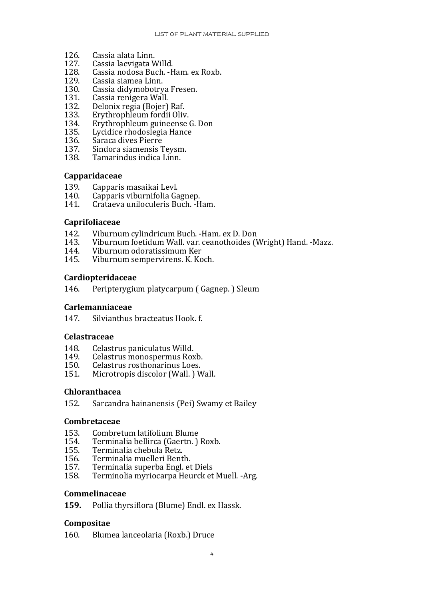- 126. Cassia alata Linn.
- . 127. Cassia laevigata Willd
- 128. Cassia nodosa Buch. -Ham. ex Roxb.
- 129. Cassia siamea Linn.
- 130. Cassia didymobotrya Fresen.
- 131. Cassia renigera Wall.<br>132. Delonix regia (Boier)
- 132. Delonix regia (Bojer) Raf.<br>133. Erythrophleum fordii Oliv
- Erythrophleum fordii Oliv.
- 134. Erythrophleum guineense G. Don
- 135. Lycidice rhodoslegia Hance
- 136. Saraca dives Pierre
- 137. Sindora siamensis Teysm.
- 138. Tamarindus indica Linn.

#### **Capparidaceae**

- 139. Capparis masaikai Levl.<br>140. Capparis viburnifolia Ga
- 140. Capparis viburnifolia Gagnep.
- 141. Crataeva uniloculeris Buch. ‐Ham.

#### **Caprifoliaceae**

- 142. Viburnum cylindricum Buch. -Ham. ex D. Don
- 143. Viburnum foetidum Wall. var. ceanothoides (Wright) Hand. -Mazz.
- 144. Viburnum odoratissimum Ker
- 145. Viburnum sempervirens. K. Koch.

#### **Cardiopteridaceae**

146. Peripterygium platycarpum ( Gagnep. ) Sleum

#### **Carlemanniaceae**

147. Silvianthus bracteatus Hook. f.

#### **Celastraceae**

- 148. Celastrus paniculatus Willd.<br>149. Celastrus monospermus Rox
- Celastrus monospermus Roxb.
- 150. Celastrus rosthonarinus Loes.<br>151. Microtropis discolor (Wall.) W
- Microtropis discolor (Wall. ) Wall.

#### **Chloranthacea**

152. Sarcandra hainanensis (Pei) Swamy et Bailey

#### $$

- 153. Combretum latifolium Blume
- 153. Combretum latifolium Blume<br>154. Terminalia bellirca (Gaertn. ) Roxb.
- 155. Terminalia chebula Retz.<br>156. Terminalia muelleri Bent
- 156. Terminalia muelleri Benth.<br>157. Terminalia superba Engl. et
- 157. Terminalia superba Engl. et Diels<br>158. Terminolia myriocarpa Heurck et
- Terminolia myriocarpa Heurck et Muell. -Arg.

#### **Commelinaceae**

**159.** Pollia thyrsiflora (Blume) Endl. ex Hassk. 

#### **Com positae**

160. Blumea lanceolaria (Roxb.) Druce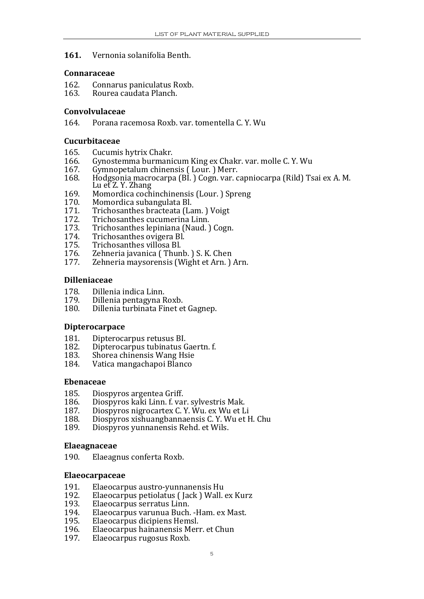#### **161.** Vernonia solanifolia Benth.

#### **Connaraceae**

- 162. Connarus paniculatus Ro xb.
- 163. Rourea caudata Planch.

#### **Convolvulaceae**

164. Porana racemosa Roxb. var. tomentella C. Y. Wu

#### **Cucurbitaceae**

- 165. Cucumis hytrix Chakr.<br>166. Gynostemma burmani
- 166. Gynostemma burmanicum King ex Chakr. var. molle C. Y. Wu<br>167. Gymnopetalum chinensis (Lour. ) Merr.
- 167. Gymnopetalum chinensis (Lour.) Merr.<br>168. Hodgsonia macrocarpa (BL) Cogn. var. c
- 168. Hodgsonia macrocarpa (Bl.) Cogn. var. capniocarpa (Rild) Tsai ex A. M. Lu et Z. Y. Zhang

e a componente della

- 169. Momordica cochinchinensis (Lour.) Spreng
- 170. Momordica subangulata Bl.<br>171 Trichosanthes bracteata (La
- 171. Trichosanthes bracteata (Lam.) Voigt<br>172. Trichosanthes cucumerina Linn.
- 172. Trichosanthes cucumerina Linn.
- 173. Trichosanthes lepiniana (Naud.) Cogn.
- 174. Trichosanthes ovigera Bl.<br>175. Trichosanthes villosa Bl.
- 175. Trichosanthes villosa Bl.<br>176. Zehneria iavanica (Thun
- 176. Zehneria javanica (Thunb.) S. K. Chen<br>177. Zehneria maysorensis (Wight et Arn.)
- Zehneria maysorensis (Wight et Arn. ) Arn.

#### **Dilleniaceae**

- 178. Dillenia indica Linn.
- 179. Dillenia pentagyna Roxb.
- 180. Dillenia turbinata Finet et Gagnep.

#### **Dipterocarpace**

- 181. Dipterocarpus retusus BI.<br>182. Dipterocarpus tubinatus G
- 182. Dipterocarpus tubinatus Gaertn. f.
- 183. Shorea chinensis Wang Hsie<br>184 Vatica mangachanoi Blanco
- Vatica mangachapoi Blanco

#### **Ebenaceae**

- 185. Diospyros argentea Griff.
- 186. Diospyros kaki Linn. f. var. sylvestris Mak.<br>187. Diospyros nigrocartex C. Y. Wu. ex Wu et L
- 187. Diospyros nigrocartex C.Y. Wu. ex Wu et Li
- 188. Diospyros xishuangbannaensis C.Y. Wu et H. Chu
- 189. Diospyros yunnanensis Rehd. et Wils.

#### **Elaeagnaceae**

190. Elaeagnus conferta Roxb.

#### **Elaeocarpaceae**

- 191. Elaeocarpus austro-yunnanensis Hu
- 192. Elaeocarpus petiolatus (Jack ) Wall. ex Kurz
- 193. Elaeocarpus serratus Linn.
- 194. 4. Elaeocarpus varunua Buch. -Ham. ex Mast.
- . 195. Elaeocarpus dicipiens Hemsl
- 196. Elaeocarpus hainanensis Merr. et Chun
- 197. Elaeocarpus rugosus Roxb.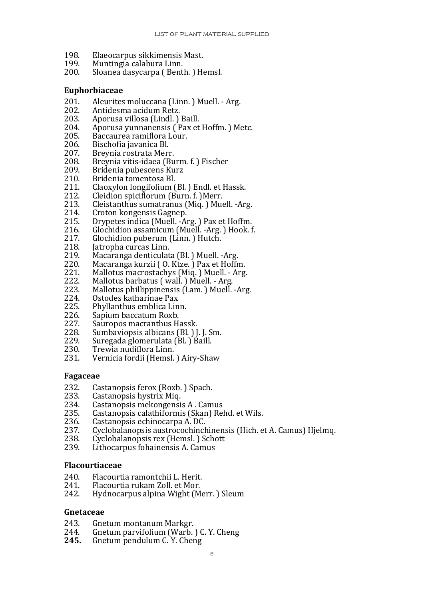- 198. Elaeocarpus sikkimensis Mast.
- 199. Muntingia calabura Linn.
- 200. Sloanea dasycarpa ( Benth. ) Hemsl.

#### **Euphorbiaceae**

- 201. Aleurites moluccana (Linn. ) Muell. Arg.<br>202. Antidesma acidum Retz.
- 
- 202. Antidesma acidum Retz.<br>203. Aporusa villosa (Lindl.) 203. Aporusa villosa (Lindl.) Baill.
- 204. Aporusa yunnanensis (Pax et Hoffm.) Metc.
- 205. Baccaurea ramiflora Lour.
- 206. Bischofia javanica Bl.<br>207. Brevnia rostrata Meri
- Breynia rostrata Merr.
- 208. Breynia vitis-idaea (Burm. f.) Fischer
- 209. Bridenia pubescens Kurz<br>210. Bridenia tomentosa Bl.
- 210. Bridenia tomentosa Bl.<br>211. Claoxylon longifolium (
- Claoxylon longifolium (Bl. ) Endl. et Hassk.
- 212. Cleidion spiciflorum (Burn. f. )Merr.
- 213. Cleistanthus sumatranus (Miq. ) Muell. ‐Arg.
- 214. Croton kongensis Gagnep.<br>215. Drypetes indica (Muell. -A
- 215. Drypetes indica (Muell. Arg. ) Pax et Hoffm.<br>216. Glochidion assamicum (Muell. Arg. ) Hook. f
- 216. Glochidion assamicum (Muell. -Arg.) Hook. f.
- 217. Glochidion puberum (Linn.) Hutch.<br>218. Iatropha curcas Linn.
- 218. Jatropha curcas Linn.<br>219. Macaranga denticulat
- 219. Macaranga denticulata (Bl.) Muell. -Arg.<br>220. Macaranga kurzii (O. Ktze.) Pax et Hoffr
- 220. Macaranga kurzii ( O. Ktze. ) Pax et Hoffm.<br>221. Mallotus macrostachys (Mig. ) Muell. Arg
- 221. Mallotus macrostachys (Miq. ) Muell. Arg.<br>222. Mallotus barbatus (wall. ) Muell. Arg.
- 222. Mallotus barbatus (wall.) Muell. Arg.
- 223. Mallotus phillippinensis (Lam.) Muell. -Arg.
- 224. Ostodes katharinae Pax<br>225. Phyllanthus emblica Lin
- 225. Phyllanthus emblica Linn.<br>226. Sapium baccatum Roxb.
- 226. Sapium baccatum Roxb.<br>227. Sauropos macranthus Hassk.
- 
- . 227. Sauropos macranthus Hassk. 228. Sumbaviopsis albicans (Bl. ) J. J. Sm
- 229. Suregada glomerulata (Bl. ) Baill.<br>230. Trewia nudiflora Linn.
- 230. Trewia nudiflora Linn.<br>231. Vernicia fordii (Hemsl.
- Vernicia fordii (Hemsl. ) Airy-Shaw

#### **Fagaceae**

- 232. Castanopsis ferox (Roxb. ) Spach.
- 233. Castanopsis hystrix Miq.
- 234. Castanopsis mekongensis A . Camus
- 235. Castanopsis calathiformis (Skan) Rehd. et Wils.
- 236. Castanopsis echinocarpa A. DC.
- 237. Cyclobalanopsis austrocochinchinensis (Hich. et A. Camus) Hjelmq.
- 238. Cyclobalanopsis rex (Hemsl. ) Schott
- 239. Lithocarpus fohainensis A. Camus

#### **Flacourtiaceae**

- 240. Flacourtia ramontchii L. Herit.
- 241. Flacourtia rukam Zoll. et Mor.<br>242. Hydnocarpus alpina Wight (M
- 242. Hydnocarpus alpina Wight (Merr. ) Sleum

#### **Gnetaceae**

- Gnetum montanum Markgr. 243.
- 244. Gnetum parvifolium (Warb. ) C. Y. Cheng
- **245.** Gnetum pendulum C. Y. Cheng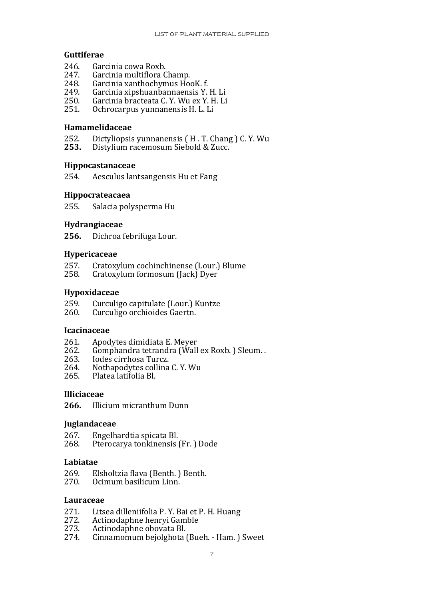#### **Guttiferae**

- 246. Garcinia cowa Roxb.<br>247. Garcinia multiflora C
- 247. Garcinia multiflora Champ.<br>248. Garcinia xanthochymus Ho
- Garcinia xanthochymus HooK. f.
- 249. Garcinia xipshuanbannaensis Y. H. Li
- 250. Garcinia bracteata C. Y. Wu ex Y. H. Li
- 251. Ochrocarpus yunnanensis H. L. Li

#### **Ham amelidaceae**

- $252.$ <br> $253.$ 52. Dictyliopsis yunnanensis (H. T. Chang) C. Y. Wu
- **253.** Distylium racemosum Siebold & Zucc.

#### **Hippocastanaceae**

254. Aesculus lantsangensis Hu et Fang

#### **Hippocrateacaea**

255. Salacia polysperma Hu

#### **Hydrangiaceae**

**256.** Dichroa febrifuga Lour.

#### **Hyp a eric ceae**

- 257. Cratoxylum cochinchinense (Lour.) Blume
- 258. Cratoxylum formosum (Jack) Dyer

#### **Hyp d oxi aceae**

- 259. Curculigo capitulate (Lour.) Ku ntze
- 260. Curculigo orchioides Gaertn.

#### **Icacinaceae**

- 261. Apodytes dimidiata E. Meyer
- 262. Gomphandra tetrandra (Wall ex Roxb.) Sleum..
- 263. Iodes cirrhosa Turcz.
- 264. Nothapodytes collina C.Y. Wu<br>265. Platea latifolia Bl.
- 265. Platea latifolia Bl.

#### **Illiciaceae**

**266.** Illicium micranthum Dunn 

#### **Juglandaceae**

- 267. Engelhardtia spicata Bl.<br>268. Pterocarya tonkinensis
- Pterocarya tonkinensis (Fr. ) Dode

#### **Labiatae**

- 269. Elsholtzia flava (Benth. ) Benth.
- 270. Ocimum basilicum Linn.

#### **Lauraceae**

- 271. Litsea dilleniifolia P. Y. Bai et P. H. Huang
- 272.<br>273. 2. Actinodaphne henryi Gamble
- 273. Actinodaphne obovata Bl.<br>274. Cinnamomum bejolghota (
- 274. Cinnamomum bejolghota (Bueh. ‐ Ham. ) Sweet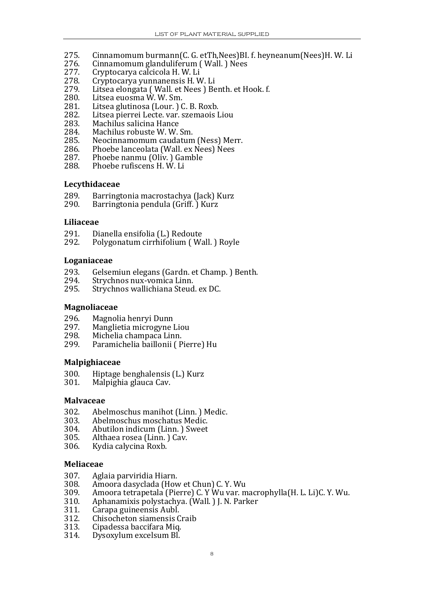- 275. Cinnamomum burmann(C. G. etTh,Nees)BI. f. heyneanum(Nees)H. W. Li
- 276. Cinnamomum glanduliferum (Wall.) Nees<br>277. Cryptocarya calcicola H.W.Li
- 277. Cryptocarya calcicola H. W. Li
- 278. Cryptocarya yunnanensis H.W. Li
- 279. Litsea elongata (Wall. et Nees) Benth. et Hook. f.
- 280. Litsea euosma W. W. Sm.
- 281. Litsea glutinosa (Lour.) C. B. Roxb.
- 282. Litsea pierrei Lecte. var. szemaois Liou
- 283. Machilus salicina Hance
- 284. Machilus robuste W. W. Sm.
- 285. Neocinnamomum caudatum (Ness) Merr.
- 286. Phoebe lanceolata (Wall. ex Nees) Nees
- 287. Phoebe nanmu (Oliv.) Gamble
- 288. Phoebe rufiscens H. W. Li

#### **Lecythidaceae**

- 289. Barringtonia macrostachya (Jack) K urz
- 290. Barringtonia pendula (Griff. ) Kurz

#### Liliaceae

- 291. Dianella ensifolia (L.) Redoute
- 292. Polygonatum cirrhifolium ( Wall. ) Royle

#### **Loganiaceae**

- 293. Gelsemiun elegans (Gardn. et Champ. ) Benth.
- 294. Strychnos nux-vomica Linn.<br>295. Strychnos wallichiana Steud
- Strychnos wallichiana Steud. ex DC.

#### **Magnoliaceae**

- 296. Magnolia henryi Dunn
- 297. Manglietia microgyne Liou
- 298. Michelia champaca Linn.
- 299. Paramichelia baillonii ( Pierre) Hu

#### **Malpighiaceae**

- 300. Hiptage benghalensis (L.) Kurz
- 301. Malpighia glauca Cav.

#### **Malvaceae**

- 302. Abelmoschus manihot (Linn.) Medic.<br>303. Abelmoschus moschatus Medic.
- Abelmoschus moschatus Medic.
- 304. Abutilon indicum (Linn. ) Sweet
- 305. Althaea rosea (Linn. ) Cav.
- 306. Kydia calycina Roxb.

#### **Meliaceae**

- 307. Aglaia parviridia Hiarn.
- Amoora dasyclada (How et Chun) C. Y. Wu
- 309. Amoora tetrapetala (Pierre) C. Y Wu var. macrophylla (H. L. Li)C. Y. Wu.
- 310. Aphanamixis polystachya. (Wall.) J. N. Parker
- 311. Carapa guineensis Aubl.<br>312. Chisocheton siamensis C
- 312. Chisocheton siamensis Craib
- 313. Cipadessa baccifara Miq.<br>314. Dysoxylum excelsum Bl.
- Dysoxylum excelsum Bl.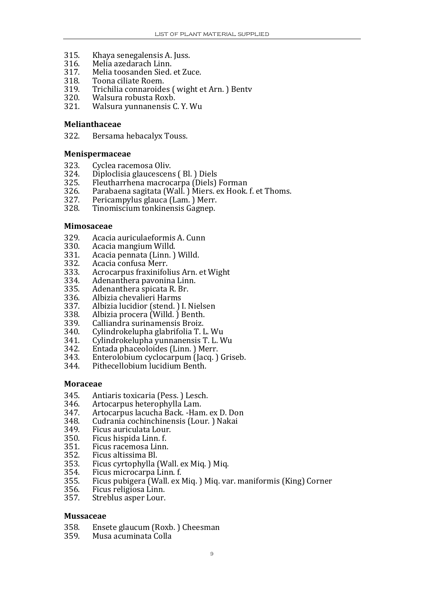- 315. Khaya senegalensis A. Juss.
- 316. Melia azedarach Linn.
- 317. Melia toosanden Sied. et Zuce.
- 318. Toona ciliate Roem.
- 319. Trichilia connaroides (wight et Arn.) Bentv
- 320. Walsura robusta Roxb.
- 321. Walsura yunnanensis C. Y. Wu

#### **Melianthaceae**

322. Bersama hebacalyx Touss.

#### **Menispermaceae**

- 323. Cyclea racemosa Oliv.
- 324. Diploclisia glaucescens ( Bl. ) Diels
- 325. Fleutharrhena macrocarpa (Diels) Forman
- 326. Parabaena sagitata (Wall.) Miers. ex Hook. f. et Thoms.
- 327. Pericampylus glauca (Lam. ) Merr.
- 328. Tinomiscium tonkinensis Gagnep.

#### **Mimosaceae**

- 329. Acacia auriculaeformis A. Cunn
- 330. Acacia mangium Willd.<br>331. Acacia pennata (Linn.)
- 331. Acacia pennata (Linn. ) Willd.
- 332. Acacia confusa Merr.<br>333. Acrocarnus fraxinifol
- 333. Acrocarpus fraxinifolius Arn. et Wight
- . 334. Adenanthera pavonina Linn
- 335. Adenanthera spicata R. Br.
- 336. Albizia chevalieri Harms<br>337. Albizia lucidior (stend.)
- 337. Albizia lucidior (stend. ) I. Nielsen
- 338. Albizia procera (Willd.) Benth.<br>339. Calliandra surinamensis Broiz.
- 339. Calliandra surinamensis Broiz.<br>340. Cylindrokelupha glabrifolia T. I
- 340. Cylindrokelupha glabrifolia T. L. Wu
- 341. Cylindrokelupha yunnanensis T. L. Wu
- Entada phaceoloides (Linn. ) Merr.
- 343. Enterolobium cyclocarpum (Jacq. ) Griseb.
- Pithecellobium lucidium Benth.

#### **Moraceae**

- 345. Antiaris toxicaria (Pess. ) Lesch.
- 346. Artocarpus heterophylla Lam.
- 347. Artocarpus lacucha Back. Ham. ex D. Don
- 348. Cudrania cochinchinensis (Lour.) Nakai
- 349. Ficus auriculata Lour.
- 350. Ficus hispida Linn. f.
- 351. Ficus racemosa Linn.
- 352. Ficus altissima Bl.
- 353. Ficus cyrtophylla (Wall. ex Miq. ) Miq.
- 354. Ficus microcarpa Linn. f.
- 355. Ficus pubigera (Wall. ex Miq. ) Miq. var. maniformis (King) Corner
- 356. Ficus religiosa Linn.
- 357. Streblus asper Lour.

#### **Mussaceae**

- 358. Ensete glaucum (Roxb.) Cheesman
- 359. Musa acuminata Colla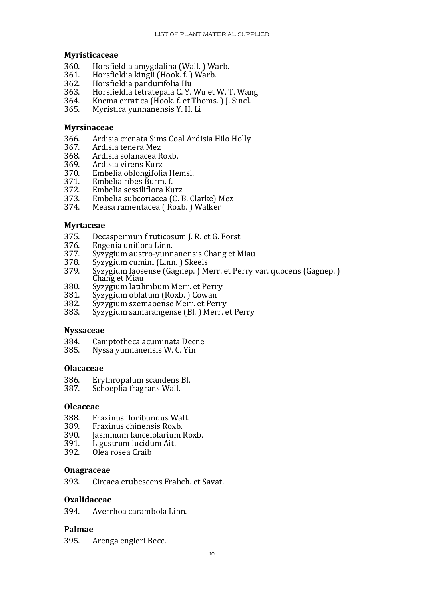#### **Myristicaceae**

- 360. Horsfieldia amygdalina (Wall. ) Warb.
- 361. Horsfieldia kingii (Hook. f. ) Warb.
- 362. Horsfieldia pandurifolia Hu
- 363. Horsfieldia tetratepala C. Y. Wu et W. T. Wang
- 364. Knema erratica (Hook. f. et Thoms.) J. Sincl.
- 365. Myristica yunnanensis Y. H. Li

#### **Myrsinaceae**

- 366. Ardisia crenata Sims Coal Ardisia Hilo Holly
- 
- 367. Ardisia tenera Mez 368. Ardisia solanacea Roxb.<br>369. Ardisia virens Kurz
- 369. Ardisia virens Kurz<br>370. Embelia oblongifoli
- 370. Embelia oblongifolia Hemsl.
- 371. Embelia ribes Burm. f.
- 
- 373. Embelia subcoriacea (C. B. Clarke) Mez 372. Embelia sessiliflora Kurz<br>373. Embelia subcoriacea (C. I
- 374. Measa ramentacea ( Roxb. ) Walker

#### **Myrtaceae**

- 375. Decaspermun f ruticosum J. R. et G. Forst
- 376. Engenia uniflora Linn.
- 377. Syzygium austro-yunnanensis Chang et Miau<br>378. Syzygium cumini (Linn.) Skeels
- 378. Syzygium cumini (Linn.) Skeels<br>379. Syzygium laosense (Gagnen.) M
- 379. Syzygium laosense (Gagnep. ) Merr. et Perry var. quocens (Gagnep. )<br>Chang et Miau<br>380 Syzygium latilimbum Merr, et Perry
- 380. Syzygium latilimbum Merr. et Perry<br>381. Syzygium oblatum (Roxb. ) Cowan
- 381. Syzygium oblatum (Roxb.) Cowan<br>382. Syzygium szemaoense Merr. et Per
- 382. Syzygium szemaoense Merr. et Perry
- Syzygium samarangense (Bl. ) Merr. et Perry

#### **Nyssaceae**

- 384. Camptotheca acuminata Decne
- 385. Nyssa yunnanensis W. C. Yin

#### **Olacaceae**

- 386. Erythropalum scandens Bl.<br>387. Schoenfia fragrans Wall.
- Schoepfia fragrans Wall.

#### **Oleaceae**

- 
- 388. Fraxinus floribundus Wall.<br>389. Fraxinus chinensis Roxb.
- 390. Jasminum lanceiolarium Roxb.
- 391. Ligustrum lucidum Ait.
- 392. Olea rosea Craib

#### **Onagraceae**

393. Circaea erubescens Frabch. et Savat.

#### **Oxalidaceae**

394. Averrhoa carambola Linn.

#### **Palmae**

395. Arenga engleri Becc.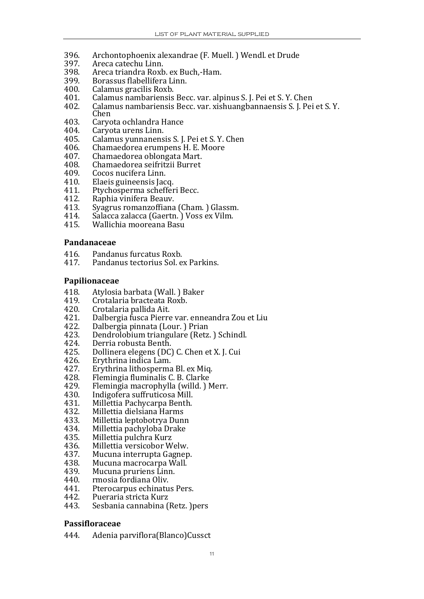- 396. Archontophoenix alexandrae (F. Mu ell. ) Wendl. et Drude
- 397. Areca catechu Linn.
- 398. Areca triandra Roxb. ex Buch,-Ham.
- 399. Borassus flabellifera Linn.
- 400. Calamus gracilis Roxb.
- 401. Calamus nambariensis Becc. var. alpinus S. J. Pei et S. Y. Chen
- 402. Calamus nambariensis Becc. var. xishuangbannaensis S. J. Pei et S. Y. Chen
- 403. Caryota ochlandra Hance<br>404. Caryota urens Linn.
- 404. Caryota urens Linn.<br>405. Calamus vunnanens
- 405. Calamus yunnanensis S. J. Pei et S. Y. Chen
- 406. Chamaedorea erumpens H. E. Moore
- 407. Chamaedorea oblongata Mart.
- 408. Chamaedorea seifritzii Burret
- 409. Cocos nucifera Linn.
- 410. Elaeis guineensis Jacq.<br>411. Ptychosperma scheffer
- 411. Ptychosperma schefferi Becc.<br>412. Raphia vinifera Beauv.
- 412. Raphia vinifera Beauv.<br>413. Svagrus romanzoffiana
- 413. Syagrus romanzoffiana (Cham.) Glassm.
- 414. Salacca zalacca (Gaertn.) Voss ex Vilm.
- 415. Wallichia mooreana Basu

#### **Pandanaceae**

- 416. Pandanus furcatus Roxb.
- 417. Pandanus tectorius Sol. ex Parkins.

#### **Papilionaceae**

- 418. Atylosia barbata (Wall. ) Baker
- 419. Crotalaria bracteata Roxb.<br>420. Crotalaria pallida Ait.
- 420. Crotalaria pallida Ait.<br>421. Dalbergia fusca Pierre
- 421. Dalbergia fusca Pierre var. enneandra Zou et Liu
- 422. Dalbergia pinnata (Lour.) Prian
- 423. Dendrolobium triangulare (Retz.) Schindl.
- 424. Derria robusta Benth.<br>425. Dollinera elegens (DC)
- 425. Dollinera elegens (DC) C. Chen et X. J. Cui
- 426. Erythrina indica Lam.<br>427. Erythrina lithosperma
- 427. Erythrina lithosperma Bl. ex Miq.<br>428. Flemingia fluminalis C. B. Clarke
- 428. Flemingia fluminalis C. B. Clarke
- 429. Flemingia macrophylla (willd.) Merr.
- 430. Indigofera suffruticosa Mill.<br>431. Millettia Pachycarpa Benth.
- 431. Millettia Pachycarpa Benth.<br>432. Millettia dielsiana Harms
- 432. Millettia dielsiana Harms<br>433. Millettia lentobotrya Dun
- Millettia leptobotrya Dunn
- 434. Millettia pachyloba Drake
- 435. Millettia pulchra Kurz
- 436. Millettia versicobor Welw.<br>437. Mucuna interrupta Gagnep
- 437. Mucuna interrupta Gagnep.
- 438. Mucuna macrocarpa Wall.
- 439. Mucuna pruriens Linn.<br>440. mnosia fordiana Oliv.
- 440. rmosia fordiana Oliv.<br>441. Pterocarnus echinatu
- Pterocarpus echinatus Pers.
- 442. Pueraria stricta Kurz
- 443. Sesbania cannabina (Retz. )pers

#### **Passifloraceae**

444. Adenia parviflora(Blanco)Cussct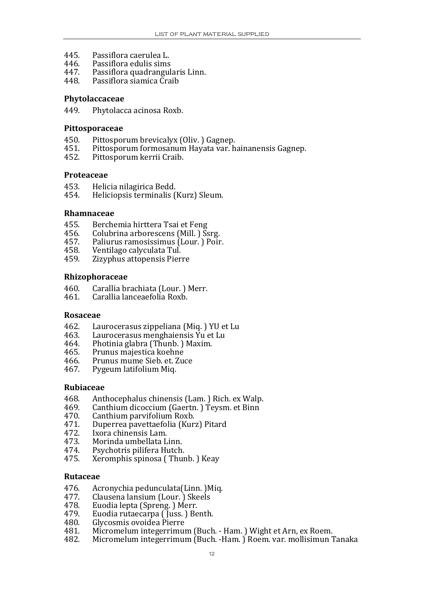- 445. Passiflora caerulea L.
- 446. Passiflora edulis sims
- 447. Passiflora quadrangularis Linn.
- 448. Passiflora siamica Craib

#### **Phytolaccaceae**

449. Phytolacca acinosa Roxb.

#### Pittosporaceae

- 450. Pittosporum brevicalyx (Oliv.) Gagnep.
- 451. Pittosporum formosanum Hayata var. hainanensis Gagnep.
- 452. Pittosporum kerrii Craib.

#### **Proteaceae**

- 453. Helicia nilagirica Bedd.<br>454. Heliciopsis terminalis (
- 454. Heliciopsis terminalis (Kurz) Sleum.

#### **Rhamnaceae**

- 455. Berchemia hirttera Tsai et Feng
- 456. Colubrina arborescens (Mill.) Ssrg.
- 457. Paliurus ramosissimus (Lour.) Poir.
- 458. Ventilago calyculata Tul.
- 459. Zizyphus attopensis Pierre

#### **Rhizophoraceae**

- 460. Carallia brachiata (Lour. ) Merr.
- 461. Carallia lanceaefolia Roxb.

#### **Rosaceae**

- 462. Laurocerasus zippeliana (Miq.) YU et Lu
- 463. Laurocerasus menghaiensis Yu et Lu
- 464. Photinia glabra (Thunb.) Maxim.
- 465. Prunus majestica koehne
- 466. Prunus mume Sieb. et. Zuce
- 467. Pygeum latifolium Miq.

#### **Rubiaceae**

- 468. Anthocephalus chinensis (Lam.) Rich. ex Walp.<br>469. Canthium dicoccium (Gaertn.) Teysm. et Binn
- Canthium dicoccium (Gaertn.) Teysm. et Binn
- 470. Canthium parvifolium Roxb.
- 471. Duperrea pavettaefolia (Kurz) Pitard
- 472. Ixora chinensis Lam.<br>473. Morinda umbellata I
- 473. Morinda umbellata Linn.<br>474. Psychotris pilifera Hutch.
- 474. Psychotris pilifera Hutch.<br>475. Xeromphis spinosa (Thur
- Xeromphis spinosa (Thunb. ) Keay

#### **Rutaceae**

- 476. Acronychia pedunculata(Linn. )Miq.
- 477. Clausena lansium (Lour. ) Skeels
- 478. Euodia lepta (Spreng. ) Merr.
- 479. Euodia rutaecarpa ( Juss. ) Benth.
- 480. 0. Glycosmis ovoidea Pierre
- 481. Micromelum integerrimum (Buch. ‐ Ham. ) Wight et Arn, ex Roem.
- 482. Micromelum integerrimum (Buch. ‐Ham. ) Roem. var. mollisimun Tanaka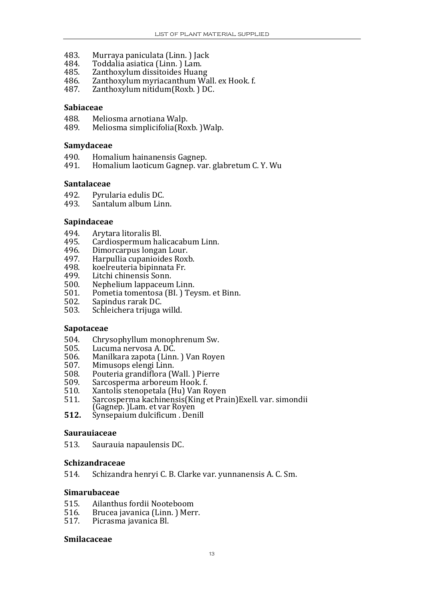- 483. Murraya paniculata (Linn. ) Jack
- 484. Toddalia asiatica (Linn. ) Lam.
- 485. Zanthoxylum dissitoides Huang
- 486. Zanthoxylum myriacanthum Wall. ex Hook. f.
- 487. Zanthoxylum nitidum(Roxb. ) DC.

#### **Sabiaceae**

- 488. Meliosma arnotiana Walp.
- 489. Meliosma simplicifolia(Roxb. )Walp.

#### **Samvdaceae**

- 490. Homalium hainanensis Gagnep.
- 491. Homalium laoticum Gagnep. var. glabretum C. Y. Wu

#### **Santalaceae**

- 492. Pyrularia edulis DC.
- 493. Santalum album Linn.

#### **Sapindaceae**

- 494. Arytara litoralis Bl.
- 495. Cardiospermum halicacabum Linn.
- 496. Dimorcarpus longan Lour.
- 497. Harpullia cupanioides Roxb.
- 498. koelreuteria bipinnata Fr.<br>499. Litchi chinensis Sonn.
- Litchi chinensis Sonn.
- 500. Nephelium lappaceum Linn.
- 501. Pometia tomentosa (BI.) Teysm. et Binn.
- 502. Sapindus rarak DC.
- 503. Schleichera trijuga willd.

#### **Sapotaceae**

- 504. Chrysophyllum monophrenum Sw.<br>505. Lucuma nervosa A. DC.
- 505. Lucuma nervosa A. DC.
- 506. Manilkara zapota (Linn. ) Van Royen
- 507. Mimusops elengi Linn.<br>508. Pouteria grandiflora (V
- 508. Pouteria grandiflora (Wall.) Pierre<br>509. Sarcosperma arboreum Hook. f.
- Sarcosperma arboreum Hook. f.
- 510. Xantolis stenopetala (Hu) Van Royen
- 511. Sarcosperma kachinensis(King et Prain)Exell. var. simondii (Gagnep.)Lam. et var Royen
- **512.** Synsepaium dulcificum . Denill

#### **Saurauiaceae**

513. Saurauia napaulensis DC.

#### **Schizandraceae**

514. Schizandra henryi C. B. Clarke var. yunnanensis A. C. Sm.

#### **Simarubaceae**

- 515. Ailanthus fordii Nooteboom
- 516. Brucea javanica (Linn.) Merr.
- 517. Picrasma javanica Bl.

#### **Smilacaceae**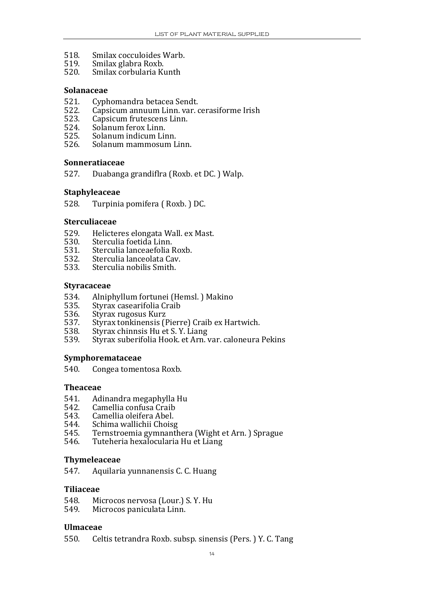- 518. Smilax cocculoides Warb .
- 519. Smilax glabra Roxb.
- 520. Smilax corbularia Kunth

#### **Solanaceae**

- 521. Cyphomandra betacea Sendt.
- 522. Capsicum annuum Linn. var. cerasiforme Irish
- 523. Capsicum frutescens Linn.
- 524. Solanum ferox Linn.<br>525. Solanum indicum Lii
- 525. Solanum indicum Linn.<br>526. Solanum mammosum L
- 526. Solanum mammosum Linn.

#### **Sonneratiaceae**

527. Duabanga grandiflra (Roxb. et DC. ) Walp.

#### **Staphyleaceae**

528. Turpinia pomifera ( Roxb. ) DC.

#### **Sterculiaceae**

- 529. Helicteres elongata Wall. ex Mast.
- 530. Sterculia foetida Linn.
- 531. Sterculia lanceaefolia Roxb.
- . 532. Sterculia lanceolata Cav
- 533. Sterculia nobilis Smith.

#### **Styracaceae**

- 534. Alniphyllum fortunei (Hemsl. ) Makino
- 535. Styrax casearifolia Craib<br>536. Styrax rugosus Kurz
- 
- 536. Styrax rugosus Kurz<br>537. Styrax tonkinensis (J 537. Styrax tonkinensis (Pierre) Craib ex Hartwich.<br>538. Styrax chinnsis Hu et S. Y. Liang
- 538. Styrax chinnsis Hu et S. Y. Liang<br>539. Styrax suberifolia Hook, et Arn.
- Styrax suberifolia Hook. et Arn. var. caloneura Pekins

#### **Symphoremataceae**

540. Congea tomentosa Roxb.

#### **Theaceae**

- 541. Adinandra megaphylla Hu
- 542. Camellia confusa Craib<br>543. Camellia oleifera Abel.
- 543. Camellia oleifera Abel.<br>544. Schima wallichii Choise
- 544. Schima wallichii Choisg<br>545. Ternstroemia gymnanth
- 545. Ternstroemia gymnanthera (Wight et Arn.) Sprague
- 546. Tuteheria hexalocularia Hu et Liang

#### **Thymeleaceae**

547. Aquilaria yunnanensis C. C. Huang

#### **Tilia e cea**

- 548. Microcos nervosa (Lour.) S. Y. Hu<br>549. Microcos paniculata Linn.
- Microcos paniculata Linn.

#### **Ulm aceae**

550. Celtis tetrandra Roxb. subsp. sinensis (Pers. ) Y. C. Tang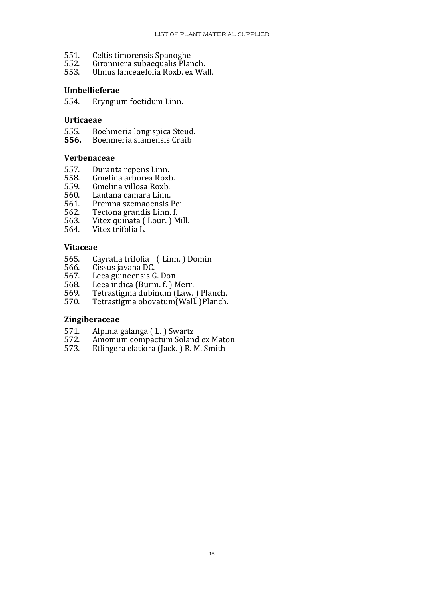- 551. Celtis timorensis Spanoghe
- Gironniera subaequalis Planch.
- 553. Ulmus lanceaefolia Roxb. ex Wall.

#### **Umbellieferae**

554. Eryngium foetidum Linn.

#### **Urtic aeae**

- 555. Boehmeria longispica Steud.
- **556.** Boehmeria siamensis Craib

#### **Verbenaceae**

- 557. Duranta repens Linn.<br>558. Gmelina arborea Roxl
- . 558. Gmelina arborea Roxb
- 559. Gmelina villosa Roxb.<br>560. Lantana camara Linn.
- 560. Lantana camara Linn.<br>561. Premna szemaoensis l
- 561. Premna szemaoensis Pei
- 562. Tectona grandis Linn. f.
- 563. Vitex quinata (Lour.) Mill.
- 564. Vitex trifolia L.

#### **Vitaceae**

- 565. Cayratia trifolia (Linn. ) Domin
- 566. Cissus javana DC.
- 567. Leea guineensis G. Don<br>568. Leea indica (Burm. f. ) N
- Leea indica (Burm. f. ) Merr.
- 569. Tetrastigma dubinum (Law. ) Planch.
- 570. Tetrastigma obovatum(Wall. )Planch.

#### **Zingiberaceae**

- 571. Alpinia galanga ( L. ) Swartz
- 572. Amomum compactum Soland ex Maton
- 573. Etlingera elatiora (Jack. ) R. M. Smith